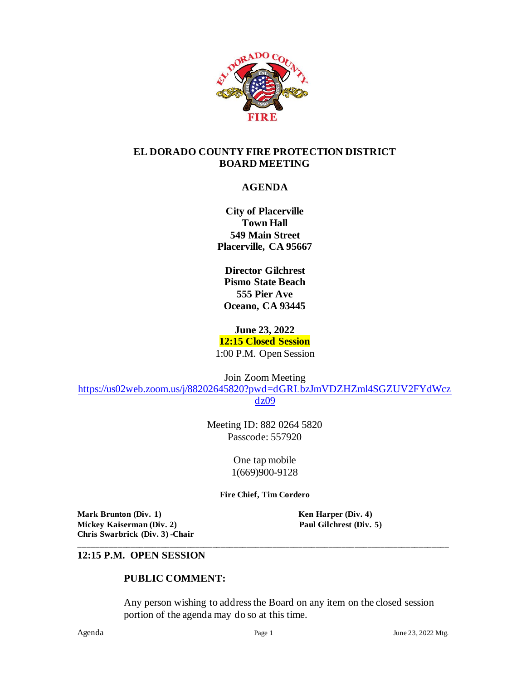

#### **EL DORADO COUNTY FIRE PROTECTION DISTRICT BOARD MEETING**

### **AGENDA**

**City of Placerville Town Hall 549 Main Street Placerville, CA 95667**

**Director Gilchrest Pismo State Beach 555 Pier Ave Oceano, CA 93445**

**June 23, 2022**

**12:15 Closed Session**

1:00 P.M. Open Session

Join Zoom Meeting

[https://us02web.zoom.us/j/88202645820?pwd=dGRLbzJmVDZHZml4SGZUV2FYdWcz](https://us02web.zoom.us/j/88202645820?pwd=dGRLbzJmVDZHZml4SGZUV2FYdWczdz09) [dz09](https://us02web.zoom.us/j/88202645820?pwd=dGRLbzJmVDZHZml4SGZUV2FYdWczdz09)

> Meeting ID: 882 0264 5820 Passcode: 557920

> > One tap mobile 1(669)900-9128

**Fire Chief, Tim Cordero**

**\_\_\_\_\_\_\_\_\_\_\_\_\_\_\_\_\_\_\_\_\_\_\_\_\_\_\_\_\_\_\_\_\_\_\_\_\_\_\_\_\_\_\_\_\_\_\_\_\_\_\_\_\_\_\_\_\_\_\_\_\_\_\_\_\_\_\_\_\_\_\_\_\_\_\_\_\_\_\_\_\_\_\_\_\_\_**

**Mark Brunton (Div. 1) Ken Harper (Div. 4) Mickey Kaiserman** (Div. 2) **Paul Gilchrest** (Div. 5) **Chris Swarbrick (Div. 3) -Chair**

#### **12:15 P.M. OPEN SESSION**

#### **PUBLIC COMMENT:**

Any person wishing to address the Board on any item on the closed session portion of the agenda may do so at this time.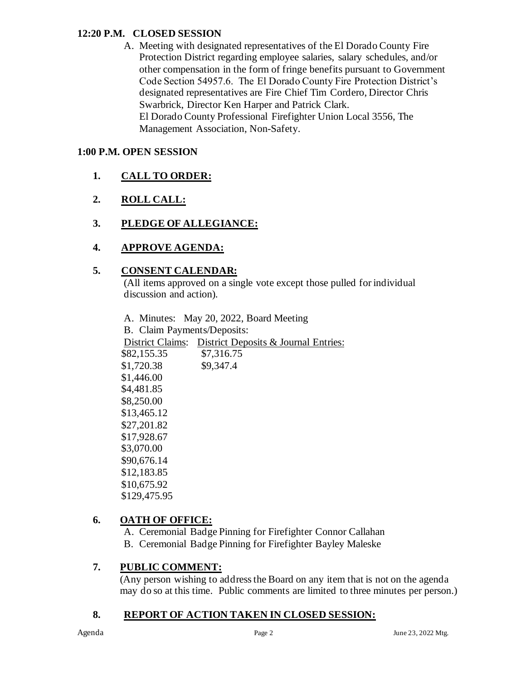#### **12:20 P.M. CLOSED SESSION**

A. Meeting with designated representatives of the El Dorado County Fire Protection District regarding employee salaries, salary schedules, and/or other compensation in the form of fringe benefits pursuant to Government Code Section 54957.6. The El Dorado County Fire Protection District's designated representatives are Fire Chief Tim Cordero, Director Chris Swarbrick, Director Ken Harper and Patrick Clark. El Dorado County Professional Firefighter Union Local 3556, The Management Association, Non-Safety.

#### **1:00 P.M. OPEN SESSION**

- **1. CALL TO ORDER:**
- **2. ROLL CALL:**
- **3. PLEDGE OF ALLEGIANCE:**
- **4. APPROVE AGENDA:**

#### **5. CONSENT CALENDAR:**

 (All items approved on a single vote except those pulled for individual discussion and action).

A. Minutes: May 20, 2022, Board Meeting B. Claim Payments/Deposits: District Claims: District Deposits & Journal Entries: \$82,155.35 \$7,316.75 \$1,720.38 \$9,347.4 \$1,446.00 \$4,481.85 \$8,250.00 \$13,465.12 \$27,201.82 \$17,928.67 \$3,070.00 \$90,676.14 \$12,183.85 \$10,675.92 \$129,475.95

### **6. OATH OF OFFICE:**

A. Ceremonial Badge Pinning for Firefighter Connor Callahan B. Ceremonial Badge Pinning for Firefighter Bayley Maleske

### **7. PUBLIC COMMENT:**

(Any person wishing to address the Board on any item that is not on the agenda may do so at this time. Public comments are limited to three minutes per person.)

### **8. REPORT OF ACTION TAKEN IN CLOSED SESSION:**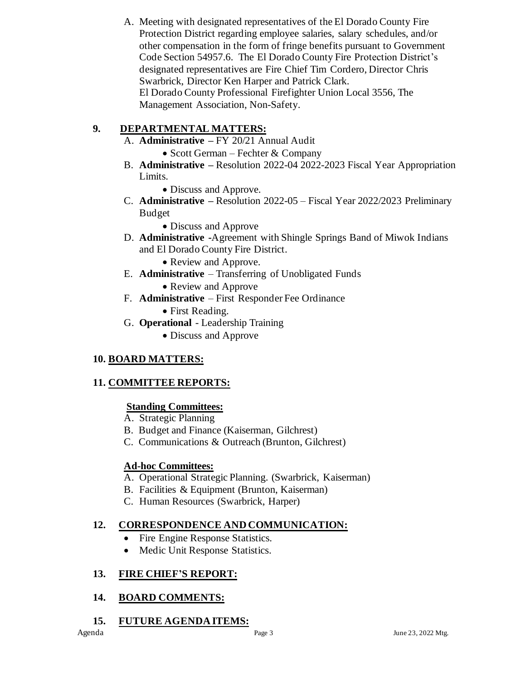A. Meeting with designated representatives of the El Dorado County Fire Protection District regarding employee salaries, salary schedules, and/or other compensation in the form of fringe benefits pursuant to Government Code Section 54957.6. The El Dorado County Fire Protection District's designated representatives are Fire Chief Tim Cordero, Director Chris Swarbrick, Director Ken Harper and Patrick Clark. El Dorado County Professional Firefighter Union Local 3556, The Management Association, Non-Safety.

# **9. DEPARTMENTAL MATTERS:**

- A. **Administrative –** FY 20/21 Annual Audit
	- Scott German Fechter & Company
- B. **Administrative –** Resolution 2022-04 2022-2023 Fiscal Year Appropriation Limits.
	- Discuss and Approve.
- C. **Administrative –** Resolution 2022-05 Fiscal Year 2022/2023 Preliminary Budget
	- Discuss and Approve
- D. **Administrative -**Agreement with Shingle Springs Band of Miwok Indians and El Dorado County Fire District.
	- Review and Approve.
- E. **Administrative**  Transferring of Unobligated Funds
	- Review and Approve
- F. **Administrative** First Responder Fee Ordinance
	- First Reading.
- G. **Operational** Leadership Training
	- Discuss and Approve

# **10. BOARD MATTERS:**

# **11. COMMITTEE REPORTS:**

# **Standing Committees:**

- A. Strategic Planning
- B. Budget and Finance (Kaiserman, Gilchrest)
- C. Communications & Outreach (Brunton, Gilchrest)

# **Ad-hoc Committees:**

- A. Operational Strategic Planning. (Swarbrick, Kaiserman)
- B. Facilities & Equipment (Brunton, Kaiserman)
- C. Human Resources (Swarbrick, Harper)

# **12. CORRESPONDENCE AND COMMUNICATION:**

- Fire Engine Response Statistics.
- Medic Unit Response Statistics.

# **13. FIRE CHIEF'S REPORT:**

# **14. BOARD COMMENTS:**

 **15. FUTURE AGENDA ITEMS:**